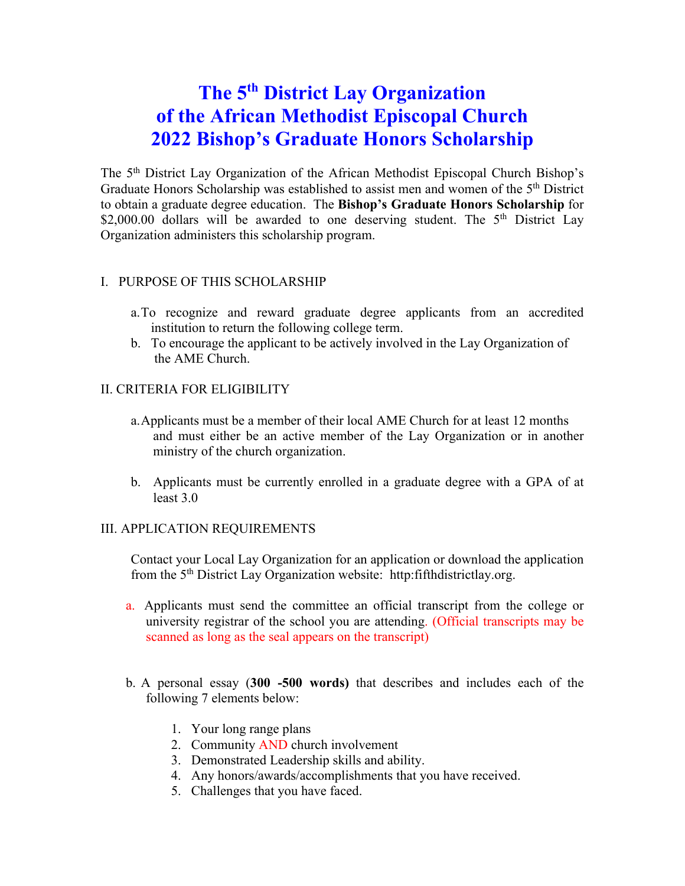# **The 5th District Lay Organization of the African Methodist Episcopal Church 2022 Bishop's Graduate Honors Scholarship**

The 5th District Lay Organization of the African Methodist Episcopal Church Bishop's Graduate Honors Scholarship was established to assist men and women of the 5<sup>th</sup> District to obtain a graduate degree education. The **Bishop's Graduate Honors Scholarship** for \$2,000.00 dollars will be awarded to one deserving student. The  $5<sup>th</sup>$  District Lay Organization administers this scholarship program.

#### I. PURPOSE OF THIS SCHOLARSHIP

- a.To recognize and reward graduate degree applicants from an accredited institution to return the following college term.
- b. To encourage the applicant to be actively involved in the Lay Organization of the AME Church.

#### II. CRITERIA FOR ELIGIBILITY

- a.Applicants must be a member of their local AME Church for at least 12 months and must either be an active member of the Lay Organization or in another ministry of the church organization.
- b. Applicants must be currently enrolled in a graduate degree with a GPA of at least 3.0

#### III. APPLICATION REQUIREMENTS

Contact your Local Lay Organization for an application or download the application from the 5th District Lay Organization website: http:fifthdistrictlay.org.

- a. Applicants must send the committee an official transcript from the college or university registrar of the school you are attending. (Official transcripts may be scanned as long as the seal appears on the transcript)
- b. A personal essay (**300 -500 words)** that describes and includes each of the following 7 elements below:
	- 1. Your long range plans
	- 2. Community AND church involvement
	- 3. Demonstrated Leadership skills and ability.
	- 4. Any honors/awards/accomplishments that you have received.
	- 5. Challenges that you have faced.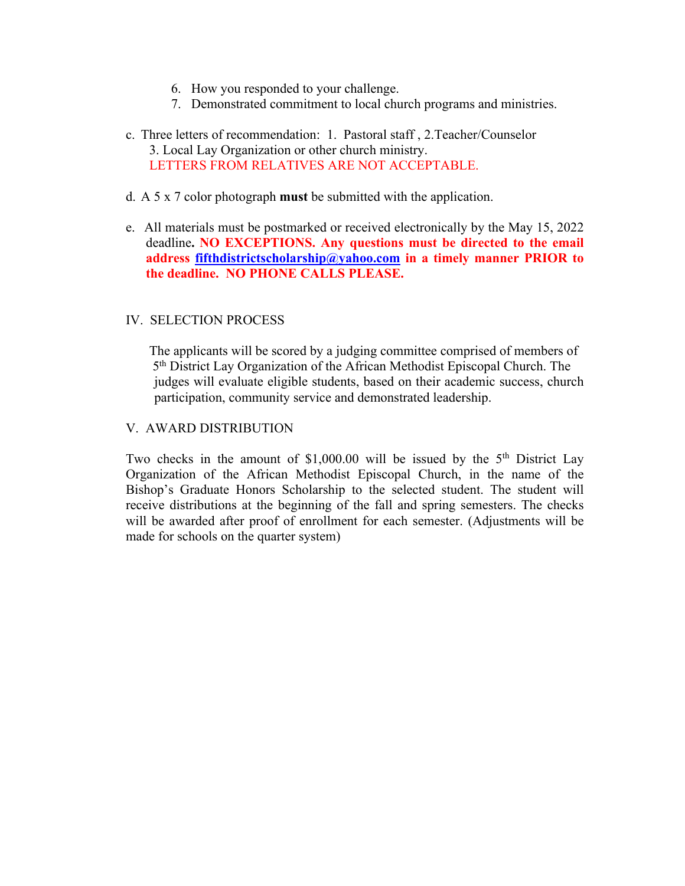- 6. How you responded to your challenge.
- 7. Demonstrated commitment to local church programs and ministries.
- c. Three letters of recommendation: 1. Pastoral staff , 2.Teacher/Counselor 3. Local Lay Organization or other church ministry. LETTERS FROM RELATIVES ARE NOT ACCEPTABLE.
- d. A 5 x 7 color photograph **must** be submitted with the application.
- e. All materials must be postmarked or received electronically by the May 15, 2022 deadline**. NO EXCEPTIONS. Any questions must be directed to the email address fifthdistrictscholarship@yahoo.com in a timely manner PRIOR to the deadline. NO PHONE CALLS PLEASE.**

#### IV. SELECTION PROCESS

 The applicants will be scored by a judging committee comprised of members of 5th District Lay Organization of the African Methodist Episcopal Church. The judges will evaluate eligible students, based on their academic success, church participation, community service and demonstrated leadership.

#### V. AWARD DISTRIBUTION

Two checks in the amount of  $$1,000.00$  will be issued by the  $5<sup>th</sup>$  District Lay Organization of the African Methodist Episcopal Church, in the name of the Bishop's Graduate Honors Scholarship to the selected student. The student will receive distributions at the beginning of the fall and spring semesters. The checks will be awarded after proof of enrollment for each semester. (Adjustments will be made for schools on the quarter system)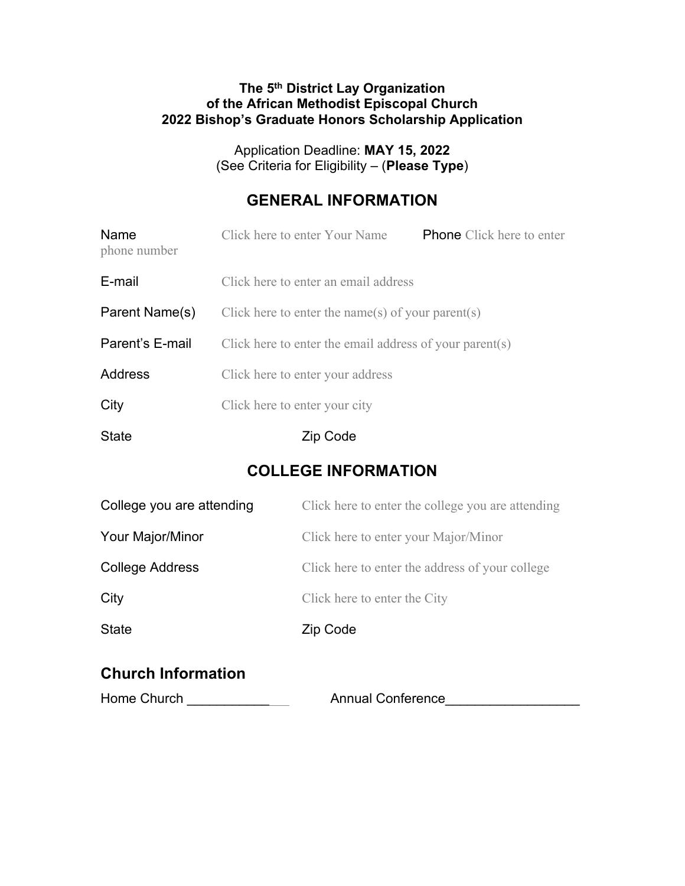#### **The 5th District Lay Organization of the African Methodist Episcopal Church 2022 Bishop's Graduate Honors Scholarship Application**

Application Deadline: **MAY 15, 2022** (See Criteria for Eligibility – (**Please Type**)

### **GENERAL INFORMATION**

| Name<br>phone number | Click here to enter Your Name                           | <b>Phone</b> Click here to enter |  |  |
|----------------------|---------------------------------------------------------|----------------------------------|--|--|
| E-mail               | Click here to enter an email address                    |                                  |  |  |
| Parent Name(s)       | Click here to enter the name(s) of your parent(s)       |                                  |  |  |
| Parent's E-mail      | Click here to enter the email address of your parent(s) |                                  |  |  |
| Address              | Click here to enter your address                        |                                  |  |  |
| City                 | Click here to enter your city                           |                                  |  |  |
| <b>State</b>         | Zip Code                                                |                                  |  |  |

### **COLLEGE INFORMATION**

| College you are attending | Click here to enter the college you are attending |  |  |
|---------------------------|---------------------------------------------------|--|--|
| Your Major/Minor          | Click here to enter your Major/Minor              |  |  |
| College Address           | Click here to enter the address of your college   |  |  |
| City                      | Click here to enter the City                      |  |  |
| <b>State</b>              | Zip Code                                          |  |  |
|                           |                                                   |  |  |

## **Church Information**

| Home Church | <b>Annual Conference</b> |  |
|-------------|--------------------------|--|
|             |                          |  |